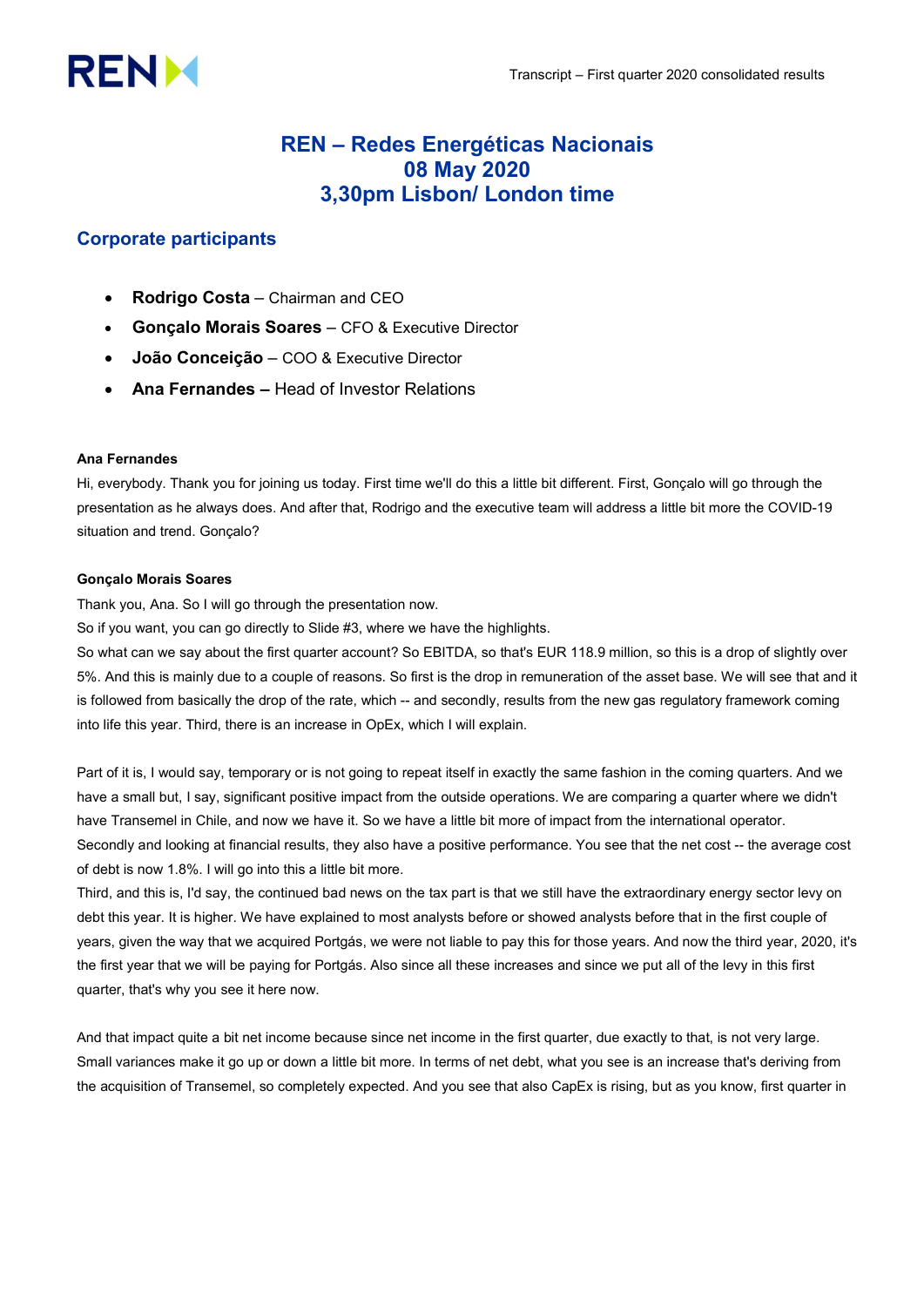# **RENM**

# REN – Redes Energéticas Nacionais 08 May 2020 3,30pm Lisbon/ London time

# Corporate participants

- Rodrigo Costa Chairman and CEO
- Gonçalo Morais Soares CFO & Executive Director
- João Conceição COO & Executive Director
- Ana Fernandes Head of Investor Relations

# Ana Fernandes

Hi, everybody. Thank you for joining us today. First time we'll do this a little bit different. First, Gonçalo will go through the presentation as he always does. And after that, Rodrigo and the executive team will address a little bit more the COVID-19 situation and trend. Gonçalo?

# Gonçalo Morais Soares

Thank you, Ana. So I will go through the presentation now.

So if you want, you can go directly to Slide #3, where we have the highlights.

So what can we say about the first quarter account? So EBITDA, so that's EUR 118.9 million, so this is a drop of slightly over 5%. And this is mainly due to a couple of reasons. So first is the drop in remuneration of the asset base. We will see that and it is followed from basically the drop of the rate, which -- and secondly, results from the new gas regulatory framework coming into life this year. Third, there is an increase in OpEx, which I will explain.

Part of it is, I would say, temporary or is not going to repeat itself in exactly the same fashion in the coming quarters. And we have a small but, I say, significant positive impact from the outside operations. We are comparing a quarter where we didn't have Transemel in Chile, and now we have it. So we have a little bit more of impact from the international operator. Secondly and looking at financial results, they also have a positive performance. You see that the net cost -- the average cost of debt is now 1.8%. I will go into this a little bit more.

Third, and this is, I'd say, the continued bad news on the tax part is that we still have the extraordinary energy sector levy on debt this year. It is higher. We have explained to most analysts before or showed analysts before that in the first couple of years, given the way that we acquired Portgás, we were not liable to pay this for those years. And now the third year, 2020, it's the first year that we will be paying for Portgás. Also since all these increases and since we put all of the levy in this first quarter, that's why you see it here now.

And that impact quite a bit net income because since net income in the first quarter, due exactly to that, is not very large. Small variances make it go up or down a little bit more. In terms of net debt, what you see is an increase that's deriving from the acquisition of Transemel, so completely expected. And you see that also CapEx is rising, but as you know, first quarter in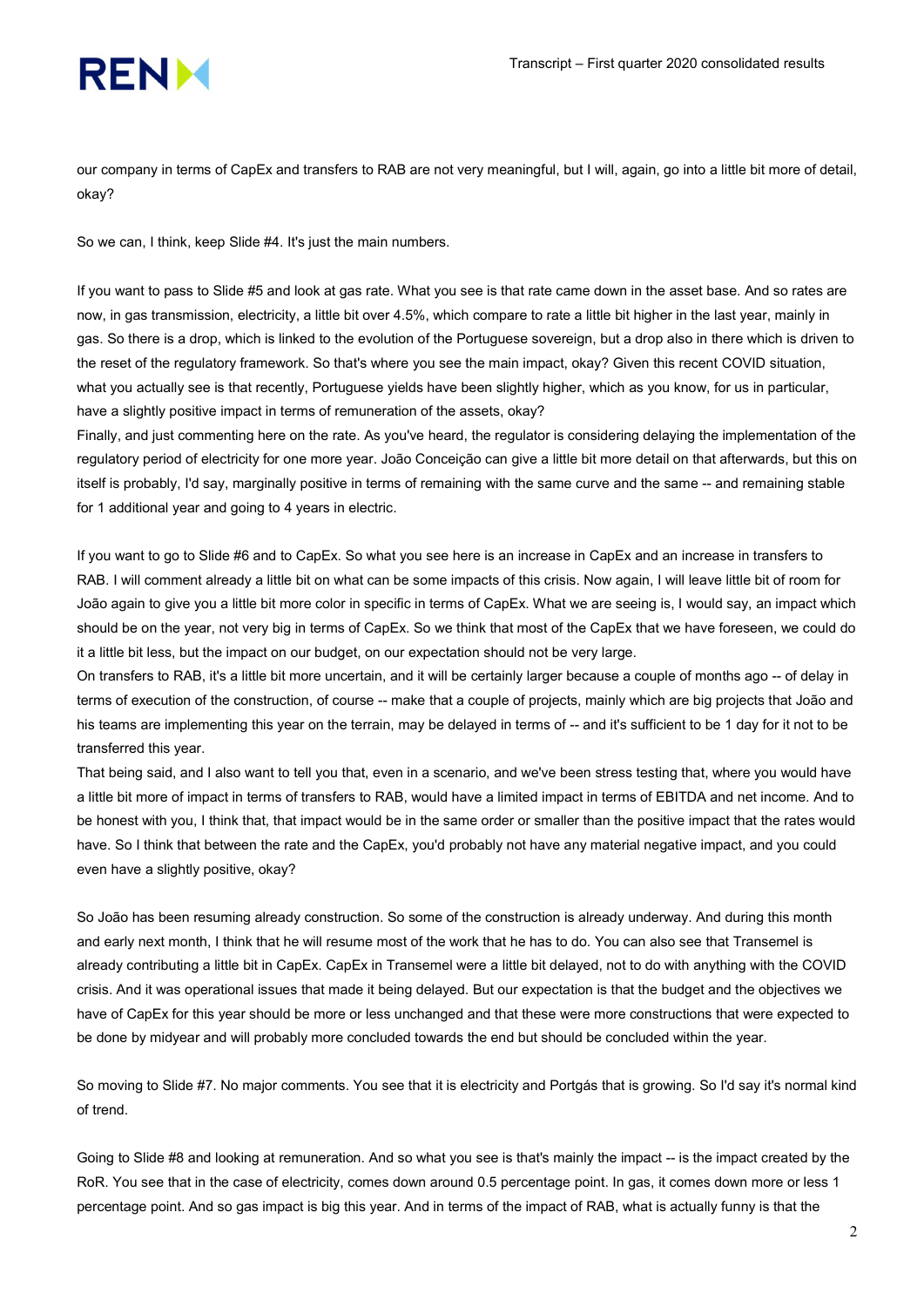

our company in terms of CapEx and transfers to RAB are not very meaningful, but I will, again, go into a little bit more of detail, okay?

So we can, I think, keep Slide #4. It's just the main numbers.

If you want to pass to Slide #5 and look at gas rate. What you see is that rate came down in the asset base. And so rates are now, in gas transmission, electricity, a little bit over 4.5%, which compare to rate a little bit higher in the last year, mainly in gas. So there is a drop, which is linked to the evolution of the Portuguese sovereign, but a drop also in there which is driven to the reset of the regulatory framework. So that's where you see the main impact, okay? Given this recent COVID situation, what you actually see is that recently, Portuguese yields have been slightly higher, which as you know, for us in particular, have a slightly positive impact in terms of remuneration of the assets, okay?

Finally, and just commenting here on the rate. As you've heard, the regulator is considering delaying the implementation of the regulatory period of electricity for one more year. João Conceição can give a little bit more detail on that afterwards, but this on itself is probably, I'd say, marginally positive in terms of remaining with the same curve and the same -- and remaining stable for 1 additional year and going to 4 years in electric.

If you want to go to Slide #6 and to CapEx. So what you see here is an increase in CapEx and an increase in transfers to RAB. I will comment already a little bit on what can be some impacts of this crisis. Now again, I will leave little bit of room for João again to give you a little bit more color in specific in terms of CapEx. What we are seeing is, I would say, an impact which should be on the year, not very big in terms of CapEx. So we think that most of the CapEx that we have foreseen, we could do it a little bit less, but the impact on our budget, on our expectation should not be very large.

On transfers to RAB, it's a little bit more uncertain, and it will be certainly larger because a couple of months ago -- of delay in terms of execution of the construction, of course -- make that a couple of projects, mainly which are big projects that João and his teams are implementing this year on the terrain, may be delayed in terms of -- and it's sufficient to be 1 day for it not to be transferred this year.

That being said, and I also want to tell you that, even in a scenario, and we've been stress testing that, where you would have a little bit more of impact in terms of transfers to RAB, would have a limited impact in terms of EBITDA and net income. And to be honest with you, I think that, that impact would be in the same order or smaller than the positive impact that the rates would have. So I think that between the rate and the CapEx, you'd probably not have any material negative impact, and you could even have a slightly positive, okay?

So João has been resuming already construction. So some of the construction is already underway. And during this month and early next month, I think that he will resume most of the work that he has to do. You can also see that Transemel is already contributing a little bit in CapEx. CapEx in Transemel were a little bit delayed, not to do with anything with the COVID crisis. And it was operational issues that made it being delayed. But our expectation is that the budget and the objectives we have of CapEx for this year should be more or less unchanged and that these were more constructions that were expected to be done by midyear and will probably more concluded towards the end but should be concluded within the year.

So moving to Slide #7. No major comments. You see that it is electricity and Portgás that is growing. So I'd say it's normal kind of trend.

Going to Slide #8 and looking at remuneration. And so what you see is that's mainly the impact -- is the impact created by the RoR. You see that in the case of electricity, comes down around 0.5 percentage point. In gas, it comes down more or less 1 percentage point. And so gas impact is big this year. And in terms of the impact of RAB, what is actually funny is that the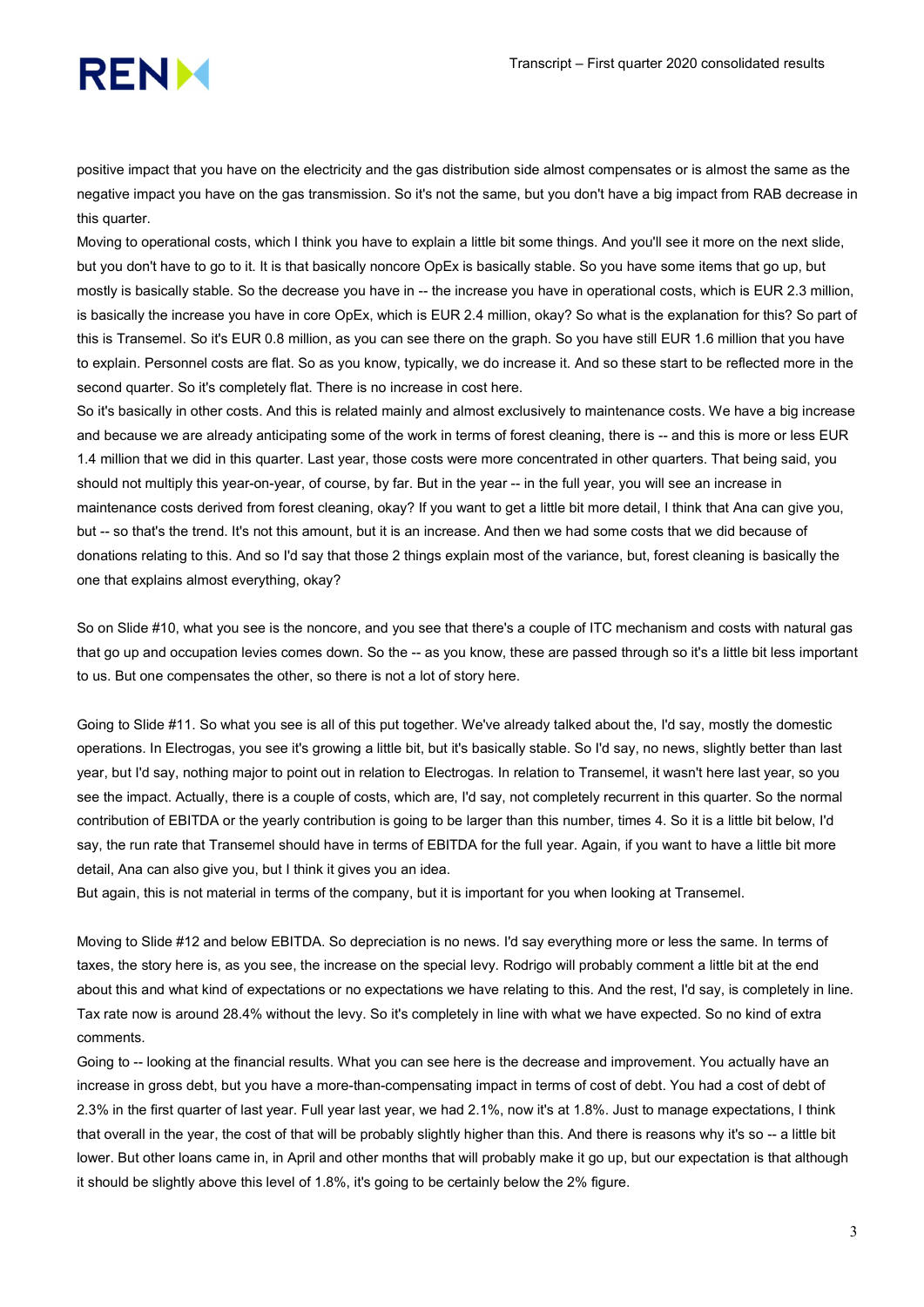

positive impact that you have on the electricity and the gas distribution side almost compensates or is almost the same as the negative impact you have on the gas transmission. So it's not the same, but you don't have a big impact from RAB decrease in this quarter.

Moving to operational costs, which I think you have to explain a little bit some things. And you'll see it more on the next slide, but you don't have to go to it. It is that basically noncore OpEx is basically stable. So you have some items that go up, but mostly is basically stable. So the decrease you have in -- the increase you have in operational costs, which is EUR 2.3 million, is basically the increase you have in core OpEx, which is EUR 2.4 million, okay? So what is the explanation for this? So part of this is Transemel. So it's EUR 0.8 million, as you can see there on the graph. So you have still EUR 1.6 million that you have to explain. Personnel costs are flat. So as you know, typically, we do increase it. And so these start to be reflected more in the second quarter. So it's completely flat. There is no increase in cost here.

So it's basically in other costs. And this is related mainly and almost exclusively to maintenance costs. We have a big increase and because we are already anticipating some of the work in terms of forest cleaning, there is -- and this is more or less EUR 1.4 million that we did in this quarter. Last year, those costs were more concentrated in other quarters. That being said, you should not multiply this year-on-year, of course, by far. But in the year -- in the full year, you will see an increase in maintenance costs derived from forest cleaning, okay? If you want to get a little bit more detail, I think that Ana can give you, but -- so that's the trend. It's not this amount, but it is an increase. And then we had some costs that we did because of donations relating to this. And so I'd say that those 2 things explain most of the variance, but, forest cleaning is basically the one that explains almost everything, okay?

So on Slide #10, what you see is the noncore, and you see that there's a couple of ITC mechanism and costs with natural gas that go up and occupation levies comes down. So the -- as you know, these are passed through so it's a little bit less important to us. But one compensates the other, so there is not a lot of story here.

Going to Slide #11. So what you see is all of this put together. We've already talked about the, I'd say, mostly the domestic operations. In Electrogas, you see it's growing a little bit, but it's basically stable. So I'd say, no news, slightly better than last year, but I'd say, nothing major to point out in relation to Electrogas. In relation to Transemel, it wasn't here last year, so you see the impact. Actually, there is a couple of costs, which are, I'd say, not completely recurrent in this quarter. So the normal contribution of EBITDA or the yearly contribution is going to be larger than this number, times 4. So it is a little bit below, I'd say, the run rate that Transemel should have in terms of EBITDA for the full year. Again, if you want to have a little bit more detail, Ana can also give you, but I think it gives you an idea.

But again, this is not material in terms of the company, but it is important for you when looking at Transemel.

Moving to Slide #12 and below EBITDA. So depreciation is no news. I'd say everything more or less the same. In terms of taxes, the story here is, as you see, the increase on the special levy. Rodrigo will probably comment a little bit at the end about this and what kind of expectations or no expectations we have relating to this. And the rest, I'd say, is completely in line. Tax rate now is around 28.4% without the levy. So it's completely in line with what we have expected. So no kind of extra comments.

Going to -- looking at the financial results. What you can see here is the decrease and improvement. You actually have an increase in gross debt, but you have a more-than-compensating impact in terms of cost of debt. You had a cost of debt of 2.3% in the first quarter of last year. Full year last year, we had 2.1%, now it's at 1.8%. Just to manage expectations, I think that overall in the year, the cost of that will be probably slightly higher than this. And there is reasons why it's so -- a little bit lower. But other loans came in, in April and other months that will probably make it go up, but our expectation is that although it should be slightly above this level of 1.8%, it's going to be certainly below the 2% figure.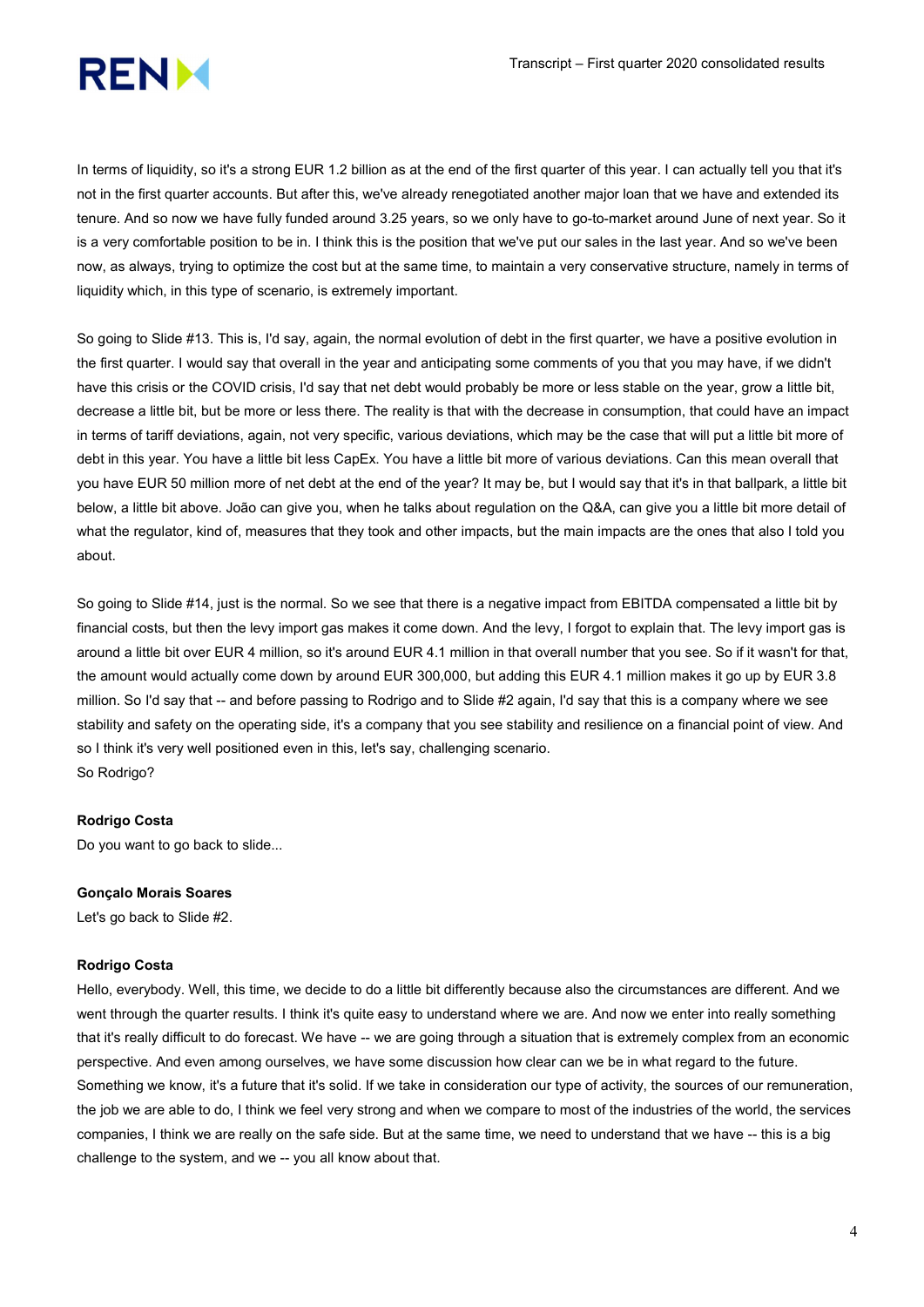

In terms of liquidity, so it's a strong EUR 1.2 billion as at the end of the first quarter of this year. I can actually tell you that it's not in the first quarter accounts. But after this, we've already renegotiated another major loan that we have and extended its tenure. And so now we have fully funded around 3.25 years, so we only have to go-to-market around June of next year. So it is a very comfortable position to be in. I think this is the position that we've put our sales in the last year. And so we've been now, as always, trying to optimize the cost but at the same time, to maintain a very conservative structure, namely in terms of liquidity which, in this type of scenario, is extremely important.

So going to Slide #13. This is, I'd say, again, the normal evolution of debt in the first quarter, we have a positive evolution in the first quarter. I would say that overall in the year and anticipating some comments of you that you may have, if we didn't have this crisis or the COVID crisis, I'd say that net debt would probably be more or less stable on the year, grow a little bit, decrease a little bit, but be more or less there. The reality is that with the decrease in consumption, that could have an impact in terms of tariff deviations, again, not very specific, various deviations, which may be the case that will put a little bit more of debt in this year. You have a little bit less CapEx. You have a little bit more of various deviations. Can this mean overall that you have EUR 50 million more of net debt at the end of the year? It may be, but I would say that it's in that ballpark, a little bit below, a little bit above. João can give you, when he talks about regulation on the Q&A, can give you a little bit more detail of what the regulator, kind of, measures that they took and other impacts, but the main impacts are the ones that also I told you about.

So going to Slide #14, just is the normal. So we see that there is a negative impact from EBITDA compensated a little bit by financial costs, but then the levy import gas makes it come down. And the levy, I forgot to explain that. The levy import gas is around a little bit over EUR 4 million, so it's around EUR 4.1 million in that overall number that you see. So if it wasn't for that, the amount would actually come down by around EUR 300,000, but adding this EUR 4.1 million makes it go up by EUR 3.8 million. So I'd say that -- and before passing to Rodrigo and to Slide #2 again, I'd say that this is a company where we see stability and safety on the operating side, it's a company that you see stability and resilience on a financial point of view. And so I think it's very well positioned even in this, let's say, challenging scenario. So Rodrigo?

# Rodrigo Costa

Do you want to go back to slide...

#### Gonçalo Morais Soares

Let's go back to Slide #2.

#### Rodrigo Costa

Hello, everybody. Well, this time, we decide to do a little bit differently because also the circumstances are different. And we went through the quarter results. I think it's quite easy to understand where we are. And now we enter into really something that it's really difficult to do forecast. We have -- we are going through a situation that is extremely complex from an economic perspective. And even among ourselves, we have some discussion how clear can we be in what regard to the future. Something we know, it's a future that it's solid. If we take in consideration our type of activity, the sources of our remuneration, the job we are able to do, I think we feel very strong and when we compare to most of the industries of the world, the services companies, I think we are really on the safe side. But at the same time, we need to understand that we have -- this is a big challenge to the system, and we -- you all know about that.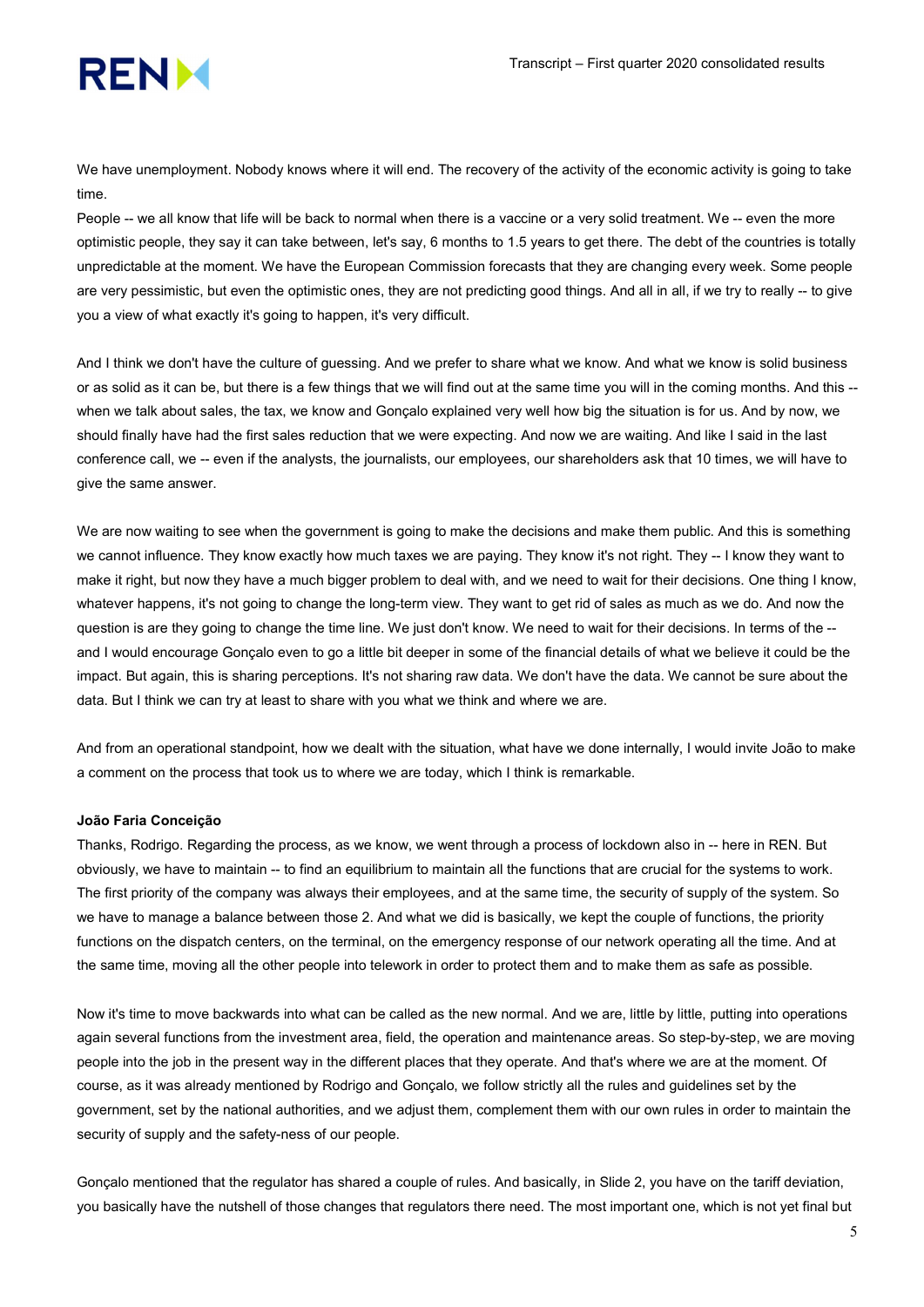

We have unemployment. Nobody knows where it will end. The recovery of the activity of the economic activity is going to take time.

People -- we all know that life will be back to normal when there is a vaccine or a very solid treatment. We -- even the more optimistic people, they say it can take between, let's say, 6 months to 1.5 years to get there. The debt of the countries is totally unpredictable at the moment. We have the European Commission forecasts that they are changing every week. Some people are very pessimistic, but even the optimistic ones, they are not predicting good things. And all in all, if we try to really -- to give you a view of what exactly it's going to happen, it's very difficult.

And I think we don't have the culture of guessing. And we prefer to share what we know. And what we know is solid business or as solid as it can be, but there is a few things that we will find out at the same time you will in the coming months. And this - when we talk about sales, the tax, we know and Gonçalo explained very well how big the situation is for us. And by now, we should finally have had the first sales reduction that we were expecting. And now we are waiting. And like I said in the last conference call, we -- even if the analysts, the journalists, our employees, our shareholders ask that 10 times, we will have to give the same answer.

We are now waiting to see when the government is going to make the decisions and make them public. And this is something we cannot influence. They know exactly how much taxes we are paying. They know it's not right. They -- I know they want to make it right, but now they have a much bigger problem to deal with, and we need to wait for their decisions. One thing I know, whatever happens, it's not going to change the long-term view. They want to get rid of sales as much as we do. And now the question is are they going to change the time line. We just don't know. We need to wait for their decisions. In terms of the -and I would encourage Gonçalo even to go a little bit deeper in some of the financial details of what we believe it could be the impact. But again, this is sharing perceptions. It's not sharing raw data. We don't have the data. We cannot be sure about the data. But I think we can try at least to share with you what we think and where we are.

And from an operational standpoint, how we dealt with the situation, what have we done internally, I would invite João to make a comment on the process that took us to where we are today, which I think is remarkable.

#### João Faria Conceição

Thanks, Rodrigo. Regarding the process, as we know, we went through a process of lockdown also in -- here in REN. But obviously, we have to maintain -- to find an equilibrium to maintain all the functions that are crucial for the systems to work. The first priority of the company was always their employees, and at the same time, the security of supply of the system. So we have to manage a balance between those 2. And what we did is basically, we kept the couple of functions, the priority functions on the dispatch centers, on the terminal, on the emergency response of our network operating all the time. And at the same time, moving all the other people into telework in order to protect them and to make them as safe as possible.

Now it's time to move backwards into what can be called as the new normal. And we are, little by little, putting into operations again several functions from the investment area, field, the operation and maintenance areas. So step-by-step, we are moving people into the job in the present way in the different places that they operate. And that's where we are at the moment. Of course, as it was already mentioned by Rodrigo and Gonçalo, we follow strictly all the rules and guidelines set by the government, set by the national authorities, and we adjust them, complement them with our own rules in order to maintain the security of supply and the safety-ness of our people.

Gonçalo mentioned that the regulator has shared a couple of rules. And basically, in Slide 2, you have on the tariff deviation, you basically have the nutshell of those changes that regulators there need. The most important one, which is not yet final but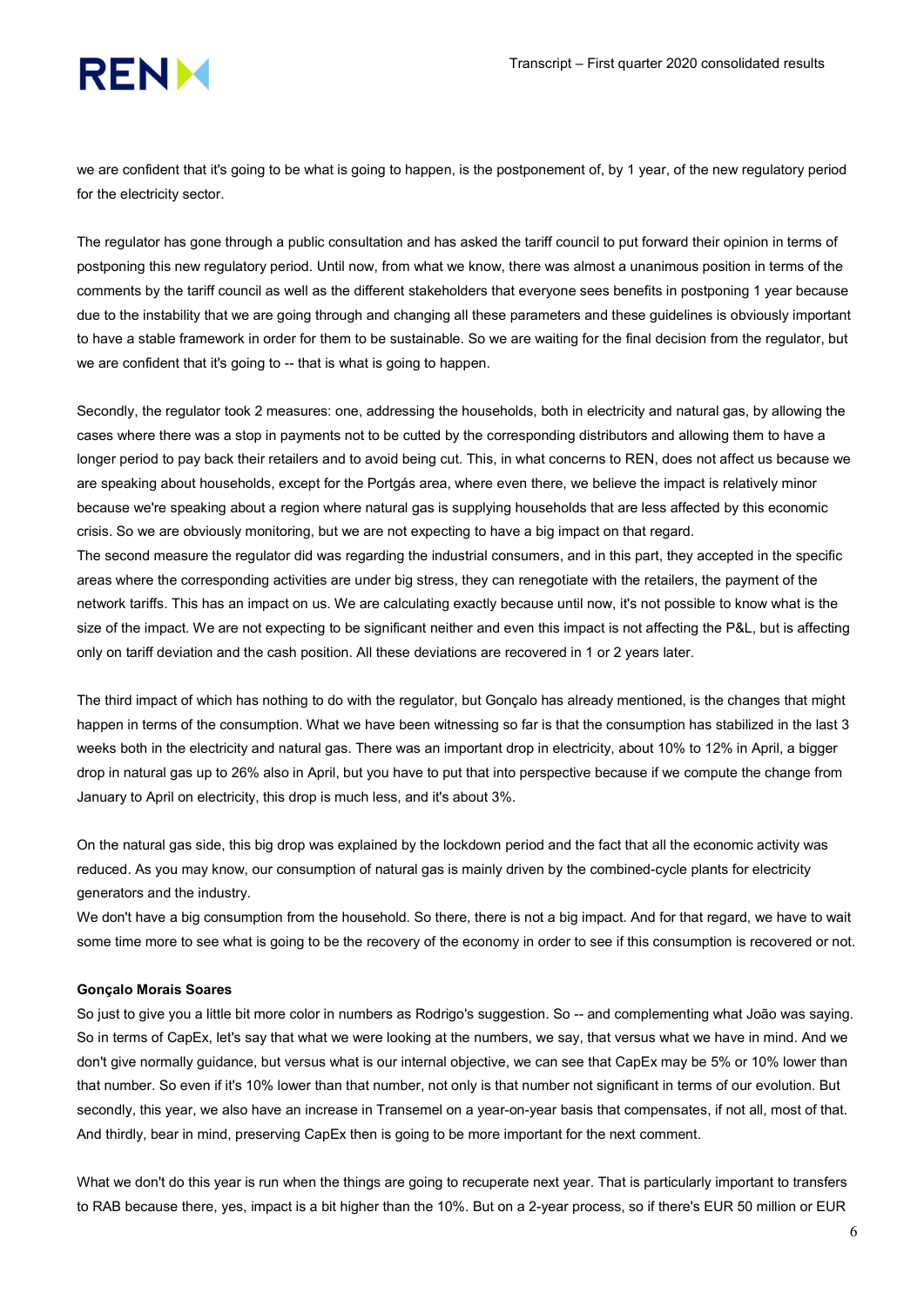we are confident that it's going to be what is going to happen, is the postponement of, by 1 year, of the new regulatory period for the electricity sector.

The regulator has gone through a public consultation and has asked the tariff council to put forward their opinion in terms of postponing this new regulatory period. Until now, from what we know, there was almost a unanimous position in terms of the comments by the tariff council as well as the different stakeholders that everyone sees benefits in postponing 1 year because due to the instability that we are going through and changing all these parameters and these guidelines is obviously important to have a stable framework in order for them to be sustainable. So we are waiting for the final decision from the regulator, but we are confident that it's going to -- that is what is going to happen.

Secondly, the regulator took 2 measures: one, addressing the households, both in electricity and natural gas, by allowing the cases where there was a stop in payments not to be cutted by the corresponding distributors and allowing them to have a longer period to pay back their retailers and to avoid being cut. This, in what concerns to REN, does not affect us because we are speaking about households, except for the Portgás area, where even there, we believe the impact is relatively minor because we're speaking about a region where natural gas is supplying households that are less affected by this economic crisis. So we are obviously monitoring, but we are not expecting to have a big impact on that regard.

The second measure the regulator did was regarding the industrial consumers, and in this part, they accepted in the specific areas where the corresponding activities are under big stress, they can renegotiate with the retailers, the payment of the network tariffs. This has an impact on us. We are calculating exactly because until now, it's not possible to know what is the size of the impact. We are not expecting to be significant neither and even this impact is not affecting the P&L, but is affecting only on tariff deviation and the cash position. All these deviations are recovered in 1 or 2 years later.

The third impact of which has nothing to do with the regulator, but Gonçalo has already mentioned, is the changes that might happen in terms of the consumption. What we have been witnessing so far is that the consumption has stabilized in the last 3 weeks both in the electricity and natural gas. There was an important drop in electricity, about 10% to 12% in April, a bigger drop in natural gas up to 26% also in April, but you have to put that into perspective because if we compute the change from January to April on electricity, this drop is much less, and it's about 3%.

On the natural gas side, this big drop was explained by the lockdown period and the fact that all the economic activity was reduced. As you may know, our consumption of natural gas is mainly driven by the combined-cycle plants for electricity generators and the industry.

We don't have a big consumption from the household. So there, there is not a big impact. And for that regard, we have to wait some time more to see what is going to be the recovery of the economy in order to see if this consumption is recovered or not.

#### Gonçalo Morais Soares

So just to give you a little bit more color in numbers as Rodrigo's suggestion. So -- and complementing what João was saying. So in terms of CapEx, let's say that what we were looking at the numbers, we say, that versus what we have in mind. And we don't give normally guidance, but versus what is our internal objective, we can see that CapEx may be 5% or 10% lower than that number. So even if it's 10% lower than that number, not only is that number not significant in terms of our evolution. But secondly, this year, we also have an increase in Transemel on a year-on-year basis that compensates, if not all, most of that. And thirdly, bear in mind, preserving CapEx then is going to be more important for the next comment.

What we don't do this year is run when the things are going to recuperate next year. That is particularly important to transfers to RAB because there, yes, impact is a bit higher than the 10%. But on a 2-year process, so if there's EUR 50 million or EUR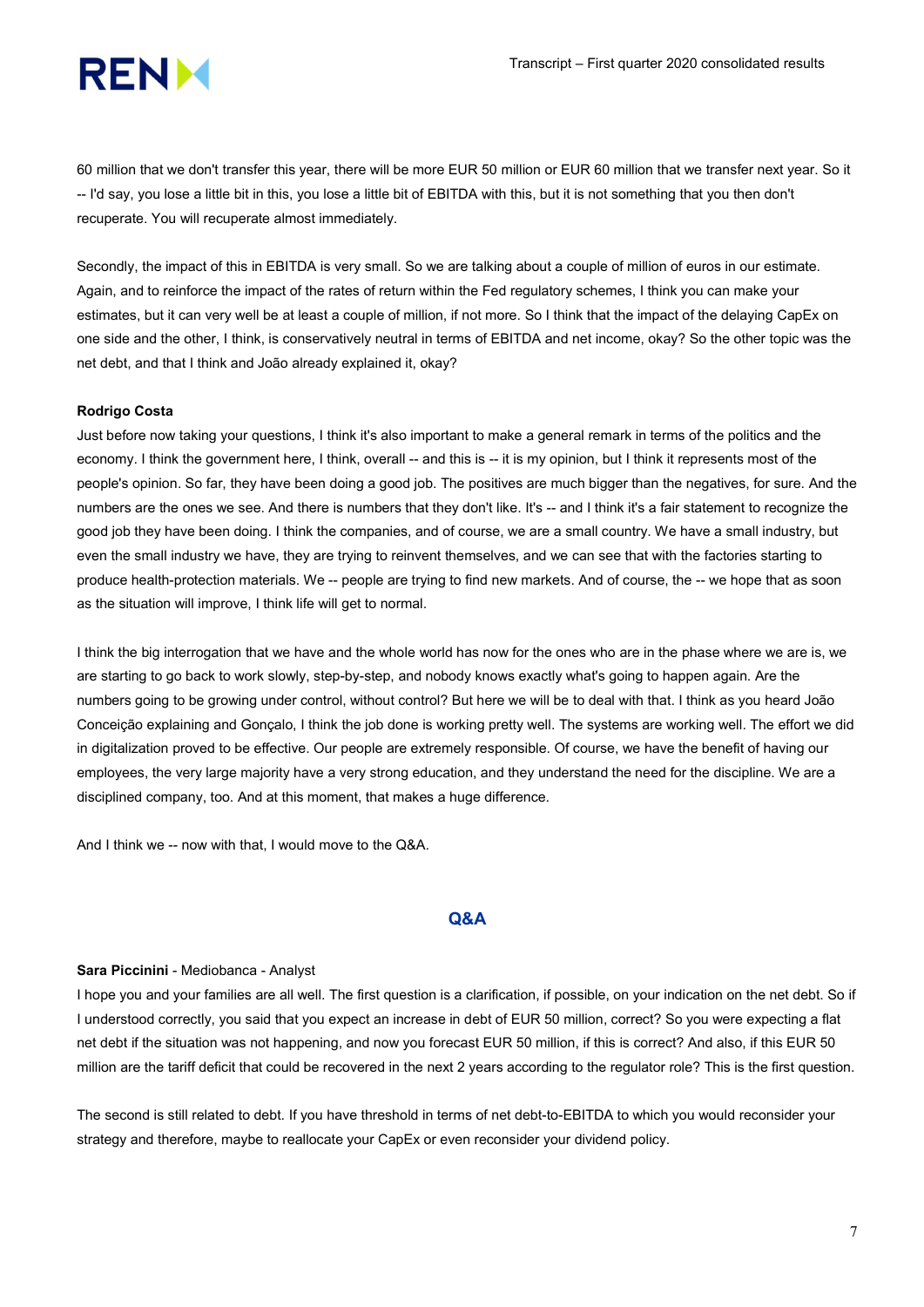

60 million that we don't transfer this year, there will be more EUR 50 million or EUR 60 million that we transfer next year. So it -- I'd say, you lose a little bit in this, you lose a little bit of EBITDA with this, but it is not something that you then don't recuperate. You will recuperate almost immediately.

Secondly, the impact of this in EBITDA is very small. So we are talking about a couple of million of euros in our estimate. Again, and to reinforce the impact of the rates of return within the Fed regulatory schemes, I think you can make your estimates, but it can very well be at least a couple of million, if not more. So I think that the impact of the delaying CapEx on one side and the other, I think, is conservatively neutral in terms of EBITDA and net income, okay? So the other topic was the net debt, and that I think and João already explained it, okay?

## Rodrigo Costa

Just before now taking your questions, I think it's also important to make a general remark in terms of the politics and the economy. I think the government here, I think, overall -- and this is -- it is my opinion, but I think it represents most of the people's opinion. So far, they have been doing a good job. The positives are much bigger than the negatives, for sure. And the numbers are the ones we see. And there is numbers that they don't like. It's -- and I think it's a fair statement to recognize the good job they have been doing. I think the companies, and of course, we are a small country. We have a small industry, but even the small industry we have, they are trying to reinvent themselves, and we can see that with the factories starting to produce health-protection materials. We -- people are trying to find new markets. And of course, the -- we hope that as soon as the situation will improve, I think life will get to normal.

I think the big interrogation that we have and the whole world has now for the ones who are in the phase where we are is, we are starting to go back to work slowly, step-by-step, and nobody knows exactly what's going to happen again. Are the numbers going to be growing under control, without control? But here we will be to deal with that. I think as you heard João Conceição explaining and Gonçalo, I think the job done is working pretty well. The systems are working well. The effort we did in digitalization proved to be effective. Our people are extremely responsible. Of course, we have the benefit of having our employees, the very large majority have a very strong education, and they understand the need for the discipline. We are a disciplined company, too. And at this moment, that makes a huge difference.

And I think we -- now with that, I would move to the Q&A.

#### Q&A

#### Sara Piccinini - Mediobanca - Analyst

I hope you and your families are all well. The first question is a clarification, if possible, on your indication on the net debt. So if I understood correctly, you said that you expect an increase in debt of EUR 50 million, correct? So you were expecting a flat net debt if the situation was not happening, and now you forecast EUR 50 million, if this is correct? And also, if this EUR 50 million are the tariff deficit that could be recovered in the next 2 years according to the regulator role? This is the first question.

The second is still related to debt. If you have threshold in terms of net debt-to-EBITDA to which you would reconsider your strategy and therefore, maybe to reallocate your CapEx or even reconsider your dividend policy.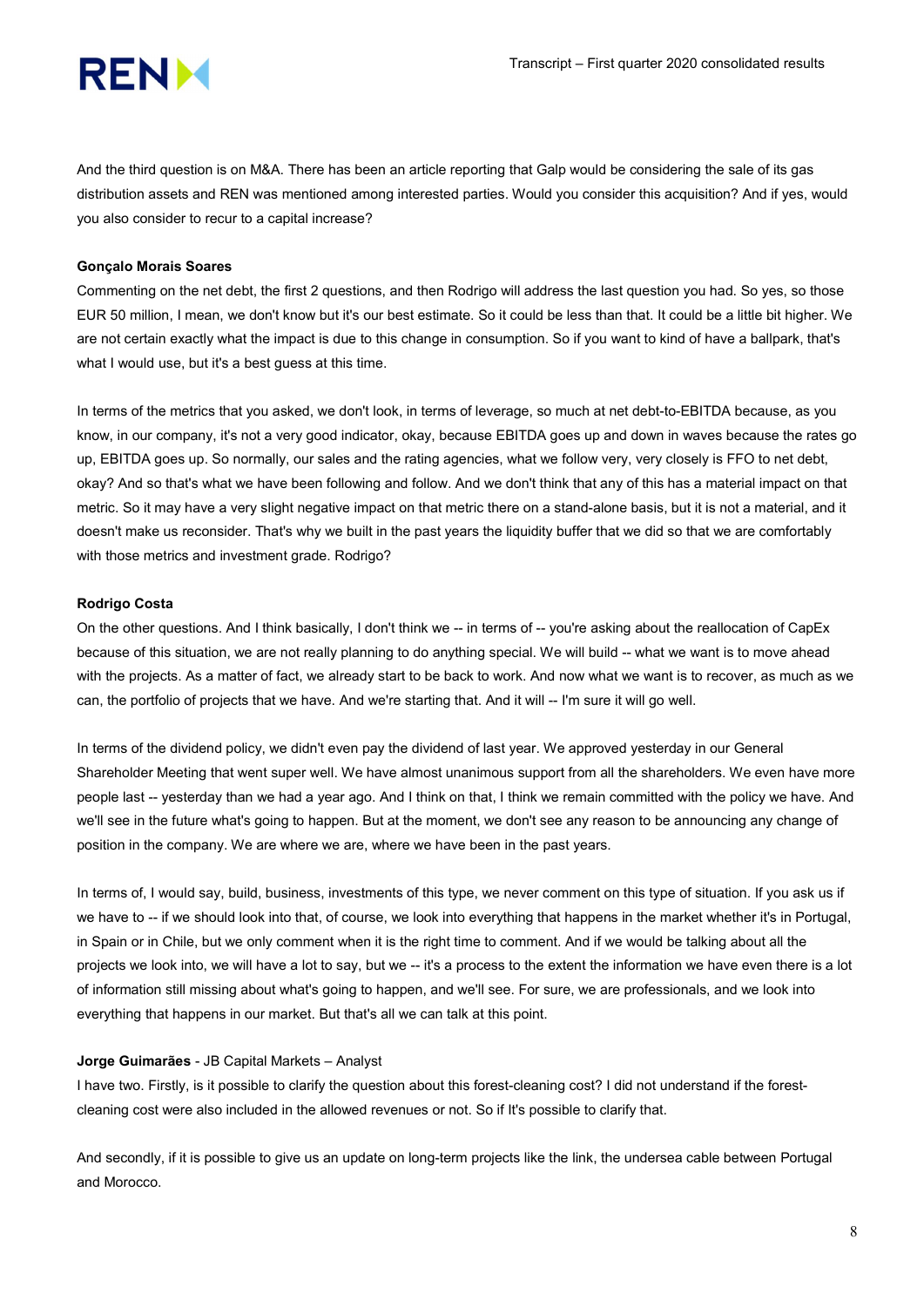

And the third question is on M&A. There has been an article reporting that Galp would be considering the sale of its gas distribution assets and REN was mentioned among interested parties. Would you consider this acquisition? And if yes, would you also consider to recur to a capital increase?

# Gonçalo Morais Soares

Commenting on the net debt, the first 2 questions, and then Rodrigo will address the last question you had. So yes, so those EUR 50 million, I mean, we don't know but it's our best estimate. So it could be less than that. It could be a little bit higher. We are not certain exactly what the impact is due to this change in consumption. So if you want to kind of have a ballpark, that's what I would use, but it's a best guess at this time.

In terms of the metrics that you asked, we don't look, in terms of leverage, so much at net debt-to-EBITDA because, as you know, in our company, it's not a very good indicator, okay, because EBITDA goes up and down in waves because the rates go up, EBITDA goes up. So normally, our sales and the rating agencies, what we follow very, very closely is FFO to net debt, okay? And so that's what we have been following and follow. And we don't think that any of this has a material impact on that metric. So it may have a very slight negative impact on that metric there on a stand-alone basis, but it is not a material, and it doesn't make us reconsider. That's why we built in the past years the liquidity buffer that we did so that we are comfortably with those metrics and investment grade. Rodrigo?

## Rodrigo Costa

On the other questions. And I think basically, I don't think we -- in terms of -- you're asking about the reallocation of CapEx because of this situation, we are not really planning to do anything special. We will build -- what we want is to move ahead with the projects. As a matter of fact, we already start to be back to work. And now what we want is to recover, as much as we can, the portfolio of projects that we have. And we're starting that. And it will -- I'm sure it will go well.

In terms of the dividend policy, we didn't even pay the dividend of last year. We approved yesterday in our General Shareholder Meeting that went super well. We have almost unanimous support from all the shareholders. We even have more people last -- yesterday than we had a year ago. And I think on that, I think we remain committed with the policy we have. And we'll see in the future what's going to happen. But at the moment, we don't see any reason to be announcing any change of position in the company. We are where we are, where we have been in the past years.

In terms of, I would say, build, business, investments of this type, we never comment on this type of situation. If you ask us if we have to -- if we should look into that, of course, we look into everything that happens in the market whether it's in Portugal, in Spain or in Chile, but we only comment when it is the right time to comment. And if we would be talking about all the projects we look into, we will have a lot to say, but we -- it's a process to the extent the information we have even there is a lot of information still missing about what's going to happen, and we'll see. For sure, we are professionals, and we look into everything that happens in our market. But that's all we can talk at this point.

#### Jorge Guimarães - JB Capital Markets – Analyst

I have two. Firstly, is it possible to clarify the question about this forest-cleaning cost? I did not understand if the forestcleaning cost were also included in the allowed revenues or not. So if It's possible to clarify that.

And secondly, if it is possible to give us an update on long-term projects like the link, the undersea cable between Portugal and Morocco.